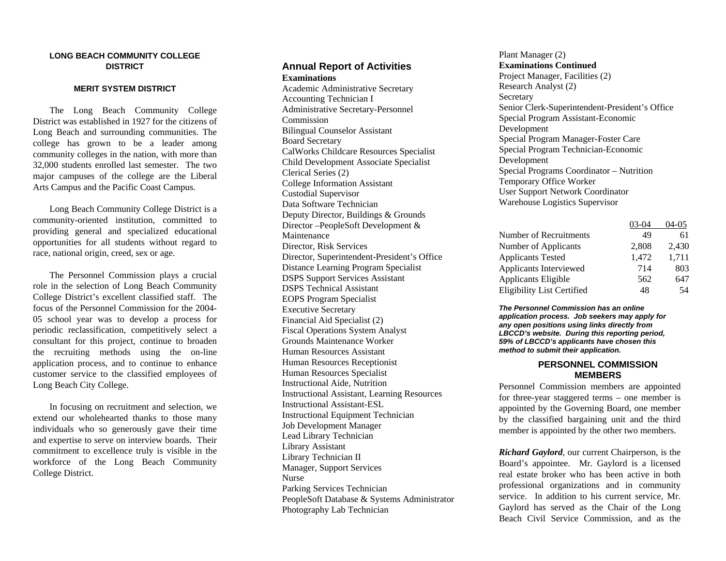#### **LONG BEACH COMMUNITY COLLEGE DISTRICT**

#### **MERIT SYSTEM DISTRICT**

 The Long Beach Community College District was established in 1927 for the citizens of Long Beach and surrounding communities. The college has grown to be a leader among community colleges in the nation, with more than 32,000 students enrolled last semester. The two major campuses of the college are the Liberal Arts Campus and the Pacific Coast Campus.

 Long Beach Community College District is a community-oriented institution, committed to providing general and specialized educational opportunities for all students without regard to race, national origin, creed, sex or age.

 The Personnel Commission plays a crucial role in the selection of Long Beach Community College District's excellent classified staff. The focus of the Personnel Commission for the 2004-05 school year was to develop a process for periodic reclassification, competitively select a consultant for this project, continue to broaden the recruiting methods using the on-line application process, and to continue to enhance customer service to the classified employees of Long Beach City College.

 In focusing on recruitment and selection, we extend our wholehearted thanks to those many individuals who so generously gave their time and expertise to serve on interview boards. Their commitment to excellence truly is visible in the workforce of the Long Beach Community College District.

#### **Annual Report of Activities Examinations**

Academic Administrative Secretary Accounting Technician I Administrative Secretary-Personnel Commission Bilingual Counselor Assistant Board Secretary CalWorks Childcare Resources Specialist Child Development Associate Specialist Clerical Series (2) College Information Assistant Custodial Supervisor Data Software Technician Deputy Director, Buildings & Grounds Director –PeopleSoft Development & Maintenance Director, Risk Services Director, Superintendent-President's Office Distance Learning Program Specialist DSPS Support Services Assistant DSPS Technical Assistant EOPS Program Specialist Executive Secretary Financial Aid Specialist (2) Fiscal Operations System Analyst Grounds Maintenance Worker Human Resources Assistant Human Resources Receptionist Human Resources Specialist Instructional Aide, Nutrition Instructional Assistant, Learning Resources Instructional Assistant-ESL Instructional Equipment Technician Job Development Manager Lead Library Technician Library Assistant Library Technician II Manager, Support Services Nurse Parking Services Technician PeopleSoft Database & Systems Administrator Photography Lab Technician

#### Plant Manager (2) **Examinations Continued**

Project Manager, Facilities (2) Research Analyst (2) **Secretary** Senior Clerk-Superintendent-President's Office Special Program Assistant-Economic Development Special Program Manager-Foster Care Special Program Technician-Economic Development Special Programs Coordinator – Nutrition Temporary Office Worker User Support Network Coordinator Warehouse Logistics Supervisor

|                                   | 03-04 | 04-05 |
|-----------------------------------|-------|-------|
| Number of Recruitments            | 49    | 61    |
| Number of Applicants              | 2,808 | 2,430 |
| <b>Applicants Tested</b>          | 1,472 | 1,711 |
| Applicants Interviewed            | 714   | 803   |
| Applicants Eligible               | 562   | 647   |
| <b>Eligibility List Certified</b> | 48    | 54    |

*The Personnel Commission has an online application process. Job seekers may apply for any open positions using links directly from LBCCD's website. During this reporting period, 59% of LBCCD's applicants have chosen this method to submit their application.* 

### **PERSONNEL COMMISSION MEMBERS**

Personnel Commission members are appointed for three-year staggered terms – one member is appointed by the Governing Board, one member by the classified bargaining unit and the third member is appointed by the other two members.

*Richard Gaylord*, our current Chairperson, is the Board's appointee. Mr. Gaylord is a licensed real estate broker who has been active in both professional organizations and in community service. In addition to his current service, Mr. Gaylord has served as the Chair of the Long Beach Civil Service Commission, and as the